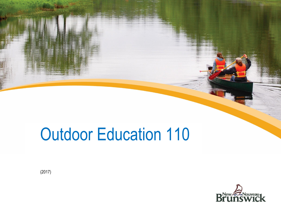# Outdoor Education 110

(2017)

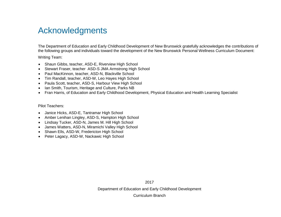# <span id="page-2-0"></span>Acknowledgments

The Department of Education and Early Childhood Development of New Brunswick gratefully acknowledges the contributions of the following groups and individuals toward the development of the New Brunswick Personal Wellness Curriculum Document:

Writing Team:

- Shaun Gibbs, teacher, ASD-E, Riverview High School
- Stewart Fraser, teacher ASD-S JMA Armstrong High School
- Paul MacKinnon, teacher, ASD-N, Blackville School
- Tim Randall, teacher, ASD-W, Leo Hayes High School
- Paula Scott, teacher, ASD-S, Harbour View High School
- Ian Smith, Tourism, Heritage and Culture, Parks NB
- Fran Harris, of Education and Early Childhood Development, Physical Education and Health Learning Specialist

Pilot Teachers:

- Janice Hicks, ASD-E, Tantramar High School
- Amber Lenihan Lingley, ASD-S, Hampton High School
- Lindsay Tucker, ASD-N, James M. Hill High School
- James Watters, ASD-N, Miramichi Valley High School
- Shawn Ells, ASD-W, Fredericton High School
- Peter Lagacy, ASD-W, Nackawic High School

2017 Department of Education and Early Childhood Development Curriculum Branch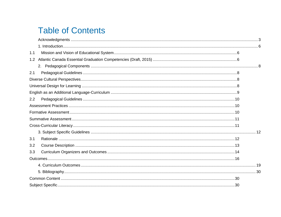# **Table of Contents**

| 1.1 |  |
|-----|--|
| 1.2 |  |
|     |  |
| 2.1 |  |
|     |  |
|     |  |
|     |  |
| 2.2 |  |
|     |  |
|     |  |
|     |  |
|     |  |
|     |  |
| 3.1 |  |
| 3.2 |  |
| 3.3 |  |
|     |  |
|     |  |
|     |  |
|     |  |
|     |  |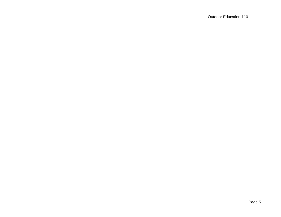Outdoor Education 110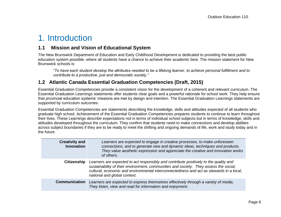# <span id="page-5-0"></span>1. Introduction

## <span id="page-5-1"></span>**1.1 Mission and Vision of Educational System**

The New Brunswick Department of Education and Early Childhood Development is dedicated to providing the best public education system possible, where all students have a chance to achieve their academic best. The mission statement for New Brunswick schools is:

*"To have each student develop the attributes needed to be a lifelong learner, to achieve personal fulfillment and to contribute to a productive, just and democratic society."*

# <span id="page-5-2"></span>**1.2 Atlantic Canada Essential Graduation Competencies (Draft, 2015)**

Essential Graduation Competencies provide a consistent vision for the development of a coherent and relevant curriculum. The Essential Graduation Learnings statements offer students clear goals and a powerful rationale for school work. They help ensure that provincial education systems' missions are met by design and intention. The Essential Graduation Learnings statements are supported by curriculum outcomes.

Essential Graduation Competencies are statements describing the knowledge, skills and attitudes expected of all students who graduate high school. Achievement of the Essential Graduation Competencies prepares students to continue to learn throughout their lives. These Learnings describe expectations not in terms of individual school subjects but in terms of knowledge, skills and attitudes developed throughout the curriculum. They confirm that students need to make connections and develop abilities across subject boundaries if they are to be ready to meet the shifting and ongoing demands of life, work and study today and in the future.

| <b>Creativity and</b><br><b>Innovation</b> | Learners are expected to engage in creative processes, to make unforeseen<br>connections, and to generate new and dynamic ideas, techniques and products.<br>They value aesthetic expression and appreciate the creative and innovative works<br>of others.                                               |
|--------------------------------------------|-----------------------------------------------------------------------------------------------------------------------------------------------------------------------------------------------------------------------------------------------------------------------------------------------------------|
| <b>Citizenship</b>                         | Learners are expected to act responsibly and contribute positively to the quality and<br>sustainability of their environment, communities and society. They assess the social,<br>cultural, economic and environmental interconnectedness and act as stewards in a local,<br>national and global context. |
| <b>Communication</b>                       | Learners are expected to express themselves effectively through a variety of media.<br>They listen, view and read for information and enjoyment.                                                                                                                                                          |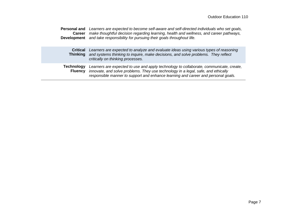| <b>Personal and</b><br><b>Career</b><br><b>Development</b> | Learners are expected to become self-aware and self-directed individuals who set goals,<br>make thoughtful decision regarding learning, health and wellness, and career pathways,<br>and take responsibility for pursuing their goals throughout life.           |
|------------------------------------------------------------|------------------------------------------------------------------------------------------------------------------------------------------------------------------------------------------------------------------------------------------------------------------|
| <b>Critical</b><br><b>Thinking</b>                         | Learners are expected to analyze and evaluate ideas using various types of reasoning<br>and systems thinking to inquire, make decisions, and solve problems. They reflect<br>critically on thinking processes.                                                   |
| <b>Technology</b><br><b>Fluency</b>                        | Learners are expected to use and apply technology to collaborate, communicate, create,<br>innovate, and solve problems. They use technology in a legal, safe, and ethically<br>responsible manner to support and enhance learning and career and personal goals. |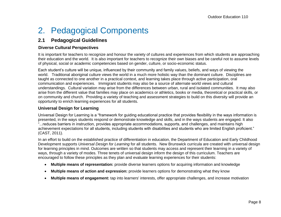# <span id="page-7-0"></span>2. Pedagogical Components

## <span id="page-7-1"></span>**2.1 Pedagogical Guidelines**

#### <span id="page-7-2"></span>**Diverse Cultural Perspectives**

It is important for teachers to recognize and honour the variety of cultures and experiences from which students are approaching their education and the world. It is also important for teachers to recognize their own biases and be careful not to assume levels of physical, social or academic competencies based on gender, culture, or socio-economic status.

Each student's culture will be unique, influenced by their community and family values, beliefs, and ways of viewing the world. Traditional aboriginal culture views the world in a much more holistic way than the dominant culture. Disciplines are taught as connected to one another in a practical context, and learning takes place through active participation, oral communication and experiences. Immigrant students may also be a source of alternate world views and cultural understandings. Cultural variation may arise from the differences between urban, rural and isolated communities. It may also arise from the different value that families may place on academics or athletics, books or media, theoretical or practical skills, or on community and church. Providing a variety of teaching and assessment strategies to build on this diversity will provide an opportunity to enrich learning experiences for all students.

#### <span id="page-7-3"></span>**Universal Design for Learning**

Universal Design for Learning is a "framework for guiding educational practice that provides flexibility in the ways information is presented, in the ways students respond or demonstrate knowledge and skills, and in the ways students are engaged. It also "...reduces barriers in instruction, provides appropriate accommodations, supports, and challenges, and maintains high achievement expectations for all students, including students with disabilities and students who are limited English proficient." (CAST, 2011).

In an effort to build on the established practice of differentiation in education, the Department of Education and Early Childhood Development supports *Universal Design for Learning* for all students. New Brunswick curricula are created with universal design for learning principles in mind. Outcomes are written so that students may access and represent their learning in a variety of ways, through a variety of modes. Three tenets of universal design inform the design of this curriculum. Teachers are encouraged to follow these principles as they plan and evaluate learning experiences for their students:

- **Multiple means of representation:** provide diverse learners options for acquiring information and knowledge
- **Multiple means of action and expression:** provide learners options for demonstrating what they know
- **Multiple means of engagement:** tap into learners' interests, offer appropriate challenges, and increase motivation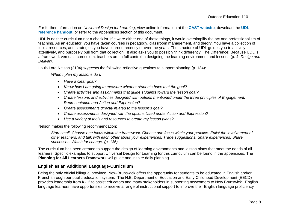For further information on *Universal Design for Learning*, view online information at [the](http://www.cast.org/) **CAST website**, download the **[UDL](https://portal.nbed.nb.ca/pd/Reading/UDL_PD/UDL%20Docs/October%20PD%20Day/Oct%2010%20Intro/Oct10_Intro%20output/story_content/external_files/Quick_Reference.pdf)  [reference](https://portal.nbed.nb.ca/pd/Reading/UDL_PD/UDL%20Docs/October%20PD%20Day/Oct%2010%20Intro/Oct10_Intro%20output/story_content/external_files/Quick_Reference.pdf) handout**, or refer to the appendices section of this document.

UDL is neither curriculum nor a checklist. If it were either one of those things, it would oversimplify the act and professionalism of teaching. As an educator, you have taken courses in pedagogy, classroom management, and theory. You have a collection of tools, resources, and strategies you have learned recently or over the years. The structure of UDL guides you to actively, attentively, and purposely pull from that collection. It also asks you to possibly think differently. The Difference: Because UDL is a framework versus a curriculum, teachers are in full control in designing the learning environment and lessons (p. 4, *Design and Deliver)*.

Louis Lord Nelson (2104) *suggests* the following reflective questions to support planning (p. 134):

*When I plan my lessons do I:*

- *Have a clear goal?*
- *Know how I am going to measure whether students have met the goal?*
- *Create activities and assignments that guide students toward the lesson goal?*
- *Create lessons and activities designed with options mentioned under the three principles of Engagement, Representation and Action and Expression?*
- *Create assessments directly related to the lesson's goal?*
- *Create assessments designed with the options listed under Action and Expression?*
- *Use a variety of tools and resources to create my lesson plans?*

Nelson makes the following recommendation:

*Start small. Choose one focus within the framework. Choose one focus within your practice. Enlist the involvement of other teachers, and talk with each other about your experiences. Trade suggestions. Share experiences. Share successes. Watch for change. (p. 136)*

The curriculum has been created to support the design of learning environments and lesson plans that meet the needs of all learners. Specific examples to support Universal Design for Learning for this curriculum can be found in the appendices. The **Planning for All Learners Framework** will guide and inspire daily planning.

#### <span id="page-8-0"></span>**English as an Additional Language-Curriculum**

Being the only official bilingual province, New-Brunswick offers the opportunity for students to be educated in English and/or French through our public education system. The N.B. Department of Education and Early Childhood Development (EECD) provides leadership from K-12 to assist educators and many stakeholders in supporting newcomers to New Brunswick. English language learners have opportunities to receive a range of instructional support to improve their English language proficiency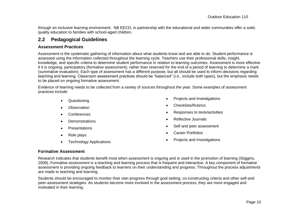through an inclusive learning environment. NB EECD, in partnership with the educational and wider communities offer a solid, quality education to families with school-aged children.

## <span id="page-9-0"></span>**2.2 Pedagogical Guidelines**

#### <span id="page-9-1"></span>**Assessment Practices**

Assessment is the systematic gathering of information about what students know and are able to do. Student performance is assessed using the information collected throughout the learning cycle. Teachers use their professional skills, insight, knowledge, and specific criteria to determine student performance in relation to learning outcomes. Assessment is more effective if it is ongoing, participatory (formative assessment), rather than reserved for the end of a period of learning to determine a mark (summative evaluation). Each type of assessment has a different purpose, but all should be used to inform decisions regarding teaching and learning. Classroom assessment practices should be ["balanced"](https://portal.nbed.nb.ca/tr/AaE/Documents/FINAL%20Balanced%20Assessment%20Doc%20April%208%202014.pdf) (i.e., include both types), but the emphasis needs to be placed on ongoing formative assessment.

Evidence of learning needs to be collected from a variety of sources throughout the year. Some examples of assessment practices include:

- 
- 
- 
- 
- 
- 
- 
- Questioning **Contract Contract Contract Contract Contract Contract Contract Contract Contract Contract Contract Contract Contract Contract Contract Contract Contract Contract Contract Contract Contract Contract Contract** 
	- Observation **Checklists/Rubrics Checklists/Rubrics**
	- Conferences **Conferences Responses to texts/activities**
	- Demonstrations **Demonstrations**
	- Presentations **Self** and peer assessment
- Role plays **Career Portfolios Career Portfolios**
- Technology Applications **Contract Contract Contract Contract Contract Contract Contract Contract Contract Contract Contract Contract Contract Contract Contract Contract Contract Contract Contract Contract Contract Contra**

#### <span id="page-9-2"></span>**Formative Assessment**

Research indicates that students benefit most when assessment is ongoing and is used in the promotion of learning (Stiggins, 2008). Formative assessment is a teaching and learning process that is frequent and interactive. A key component of formative assessment is providing ongoing feedback to learners on their understanding and progress. Throughout the process adjustments are made to teaching and learning.

Students should be encouraged to monitor their own progress through goal setting, co-constructing criteria and other self-and peer-assessment strategies. As students become more involved in the assessment process, they are more engaged and motivated in their learning.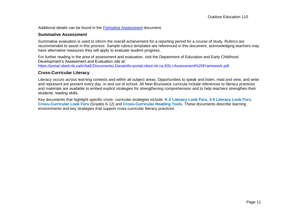Additional details can be found in the [Formative Assessment](https://portal.nbed.nb.ca/tr/lr/fora/General%20Formative%20Assessment%20Resources/Formative%20Assessment%20Foldout.pdf) document.

#### <span id="page-10-0"></span>**Summative Assessment**

Summative evaluation is used to inform the overall achievement for a reporting period for a course of study. Rubrics are recommended to assist in this process. Sample rubrics templates are referenced in this document, acknowledging teachers may have alternative measures they will apply to evaluate student progress.

For further reading in the area of assessment and evaluation, visit the Department of Education and Early Childhood Development's Assessment and Evaluation site at: https://portal.nbed.nb.ca/tr/AaE/Documents/,DanaInfo=portal.nbed.nb.ca,SSL+Assessment%20Framework.pdf

#### <span id="page-10-1"></span>**Cross-Curricular Literacy**

Literacy occurs across learning contexts and within all subject areas. Opportunities to speak and listen, read and view, and write and represent are present every day -in and out of school. All New Brunswick curricula include references to literacy practices and materials are available to embed explicit strategies for strengthening comprehension and to help teachers strengthen their students' reading skills.

Key documents that highlight specific cross- curricular strategies include: **[K-2 Literacy Look Fors](https://portal.nbed.nb.ca/tr/lr/Elementary%20School%20English%20Lang/Literacy%20Look%20Fors/Literacy%20Look%20Fors%20K%20-%202%20with%20Links.pdf)**, **[3-5 Literacy Look Fors](https://portal.nbed.nb.ca/tr/lr/Elementary%20School%20English%20Lang/Literacy%20Look%20Fors/Literacy%20Look%20Fors%20Grades%203%20-%205%20with%20links.pdf)**, **[Cross-Curricular Look Fors](https://portal.nbed.nb.ca/tr/lr/Curriculum%20Support%20Resources/CCLF%20Portal%20Version%20Links.pdf)** (Grades 6-12) and **[Cross-Curricular Reading Tools](https://portal.nbed.nb.ca/tr/lr/Curriculum%20Support%20Resources/Cross-Curricular%20Reading%20Tools.pdf)**. These documents describe learning environments and key strategies that support cross-curricular literacy practices.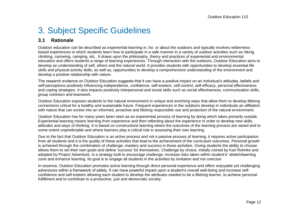# <span id="page-11-0"></span>3. Subject Specific Guidelines

### <span id="page-11-1"></span>**3.1 Rationale**

Outdoor education can be described as experiential learning in, for, or about the outdoors and typically involves wildernessbased experiences in which students learn how to participate in a safe manner in a variety of outdoor activities such as hiking, climbing, canoeing, camping, etc.. It draws upon the philosophy, theory and practices of experiential and environmental education and offers students a range of learning experiences. Through interaction with the outdoors, Outdoor Education aims to develop an understanding of self, others and the natural world. It provides students with opportunities to develop essential life skills and physical activity skills, as well as, opportunities to develop a comprehensive understanding of the environment and develop a positive relationship with nature.

The research evidence on Outdoor Education suggests that it can have a positive impact on an individual's attitudes, beliefs and self-perceptions positively influencing independence, confidence, self-esteem, self-control, self-efficacy, personal effectiveness and coping strategies. It also impacts positively interpersonal and social skills such as social effectiveness, communication skills, group cohesion and teamwork.

Outdoor Education exposes students to the natural environment in unique and enriching ways that allow them to develop lifelong connections critical for a healthy and sustainable future. Frequent experiences in the outdoors develop in individuals an affiliation with nature that can evolve into an informed, proactive and lifelong responsible use and protection of the natural environment.

Outdoor Education has for many years been seen as an experiential process of learning by doing which takes primarily outside. Experiential learning means learning from experience and then reflecting about the experience in order to develop new skills, attitudes and ways of thinking. It is based on constructivist learning where the outcomes of the learning process are varied and to some extent unpredictable and where learners play a critical role in assessing their own learning.

Due to the fact that Outdoor Education is an active process and not a passive process of learning, it requires active participation from all students and it is the quality of these activities that lead to the achievement of the curriculum outcomes. Personal growth is achieved through the combination of challenge, mastery and success in those activities. Giving students the ability to choose allows them to set their own goals and define 'success' for themselves. Challenge by choice, initially coined by Karl Rohnke and adopted by Project Adventure, is a strategy built to encourage challenge, increase risks taken within student's' stretch/learning zone and enhance learning. Its goal is to engage all students in the activities by invitation and not coercion.

In essence, Outdoor Education promotes active learning through direct personal experience and offers enjoyable yet challenging adventures within a framework of safety. It can have powerful impact upon a student's overall well-being and increase selfconfidence and self-esteem allowing each student to develop the attributes needed to be a lifelong learner, to achieve personal fulfillment and to contribute to a productive, just and democratic society.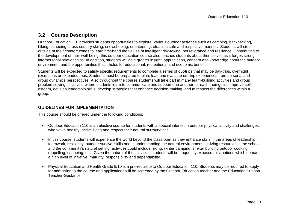### <span id="page-12-0"></span>**3.2 Course Description**

Outdoor Education 110 provides students opportunities to explore, various outdoor activities such as camping, backpacking, hiking, canoeing, cross-country skiing, snowshoeing, orienteering, etc., in a safe and respective manner. Students will step outside of their comfort zones to learn first-hand the values of intelligent risk-taking, perseverance and resilience. Contributing to the development of their well-being, this outdoor education course also teaches students about themselves as it forges strong interpersonal relationships. In addition, students will gain greater insight, appreciation, concern and knowledge about the outdoor environment and the opportunities that it holds for educational, recreational and economic benefit.

Students will be expected to satisfy specific requirements to complete a series of out-trips that may be day-trips, overnight excursions or extended trips. Students must be prepared to plan, lead and evaluate out-trip experiences from personal and group dynamics perspectives. Also throughout the course students will take part in many team-building activities and group problem solving initiatives, where students learn to communicate and support one another to reach their goals, improve selfesteem, develop leadership skills, develop strategies that enhance decision-making, and to respect the differences within a group.

#### **GUIDELINES FOR IMPLEMENTATION**

This course should be offered under the following conditions:

- Outdoor Education 110 is an elective course for students with a special interest in outdoor physical activity and challenges, who value healthy, active living and respect their natural surroundings.
- In this course, students will experience the world beyond the classroom as they enhance skills in the areas of leadership, teamwork, resiliency, outdoor survival skills and in understanding the natural environment. Utilizing resources in the school and the community's natural setting, activities could include hiking, winter camping, shelter building outdoor cooking, rappelling, canoeing, etc. Given the nature of the activities, students will be frequently exposed to situations which demand a high level of initiative, maturity, responsibility and dependability.
- Physical Education and Health Grade 9/10 is a pre-requisite to Outdoor Education 110. Students may be required to apply for admission to the course and applications will be screened by the Outdoor Education teacher and the Education Support Teacher-Guidance.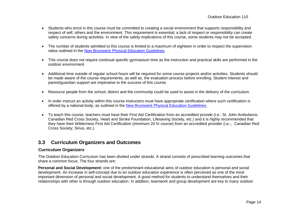- Students who enrol in this course must be committed to creating a social environment that supports responsibility and respect of self, others and the environment. This requirement is essential; a lack of respect or responsibility can create safety concerns during activities. In view of the safety implications of this course, some students may not be accepted.
- The number of students admitted to this course is limited to a maximum of eighteen in order to respect the supervision ratios outlined in the [New Brunswick Physical Education Guidelines.](http://www2.gnb.ca/content/dam/gnb/Departments/ed/pdf/K12/curric/Health-PhysicalEducation/SafetyGuidelinesSecondaryCurricular.pdf)
- This course does not require continual specific gymnasium time as the instruction and practical skills are performed in the outdoor environment.
- Additional time outside of regular school hours will be required for some course projects and/or activities. Students should be made aware of the course requirements, as well as, the evaluation process before enrolling. Student interest and parent/guardian support are imperative to the success of this course.
- Resource people from the school, district and the community could be used to assist in the delivery of the curriculum.
- In order instruct an activity within this course instructors must have appropriate certification where such certification is offered by a national body, as outlined in the [New Brunswick Physical Education Guidelines.](http://www2.gnb.ca/content/dam/gnb/Departments/ed/pdf/K12/curric/Health-PhysicalEducation/SafetyGuidelinesSecondaryCurricular.pdf)
- To teach this course, teachers must have their First Aid Certification from an accredited provide (i.e.: St. John Ambulance, Canadian Red Cross Society, Heart and Stroke Foundation, Lifesaving Society, etc.) and it is highly recommended that they have their Wilderness First Aid Certification (minimum 20 hr course) from an accredited provider (i.e.:, Canadian Red Cross Society; Sirius, etc.).

### <span id="page-13-0"></span>**3.3 Curriculum Organizers and Outcomes**

#### **Curriculum Organizers**

The Outdoor Education Curriculum has been divided under strands. A strand consists of prescribed learning outcomes that share a common focus. The four strands are:

**Personal and Social Development:** one of the predominant educational aims of outdoor education is personal and social development. An increase in self-concept due to an outdoor education experience is often perceived as one of the most important dimension of personal and social development. A good method for students to understand themselves and their relationships with other is through outdoor education. In addition, teamwork and group development are key to many outdoor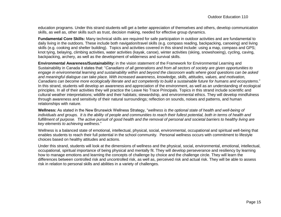education programs. Under this strand students will get a better appreciation of themselves and others, develop communication skills, as well as, other skills such as trust, decision making, needed for effective group dynamics.

**Fundamental Core Skills:** Many technical skills are required for safe participation in outdoor activities and are fundamental to daily living in the outdoors. These include both navigation/travel skills (e.g. compass reading, backpacking, canoeing) and living skills (e.g. cooking and shelter building). Topics and activities covered in this strand include: using a map, compass and GPS; knot tying, belaying, climbing activities, water activities (kayak, canoe), winter activities (skiing, snowshoeing), cycling, caving, backpacking, archery, as well as the development of wilderness and survival skills.

**Environmental Awareness/Sustainability:** in the vision statement of the Framework for Environmental Learning and Sustainability in Canada it states that: "*Canadians of all generations and from all sectors of society are given opportunities to engage in environmental learning and sustainability within and beyond the classroom walls where good questions can be asked and meaningful dialogue can take place. With increased awareness, knowledge, skills, attitudes, values, and motivation, Canadians can become more ecologically literate and act competently to build a sustainable future for humans and ecosystems*." In this strand, students will develop an awareness and appreciation of the environment, as well as an understanding of ecological principles. In all of their activities they will practice the Leave No Trace Principals. Topics in this strand include scientific and cultural weather interpretations; wildlife and their habitats; stewardship, and environmental ethics. They will develop mindfulness through awareness and sensitivity of their natural surroundings; reflection on sounds, noises and patterns, and human relationships with nature.

**Wellness:** As stated in the New Brunswick Wellness Strategy, "*wellness is the optional state of health and well-being of individuals and groups. It is the ability of people and communities to reach their fullest potential, both in terms of health and fulfillment of purpose. The active pursuit of good health and the removal of personal and societal barriers to healthy living are key elements to achieving wellness*."

Wellness is a balanced state of emotional, intellectual, physical, social, environmental, occupational and spiritual well-being that enables students to reach their full potential in the school community. Personal wellness occurs with commitment to lifestyle choices based on healthy attitudes and actions.

Under this strand, students will look at the dimensions of wellness and the physical, social, environmental, emotional, intellectual, occupational, spiritual importance of being physical and mentally fit. They will develop perseverance and resiliency by learning how to manage emotions and learning the concepts of challenge by choice and the challenge circle. They will learn the differences between controlled risk and uncontrolled risk, as well as, perceived risk and actual risk. They will be able to assess risk in relation to personal skills and abilities in a variety of challenges.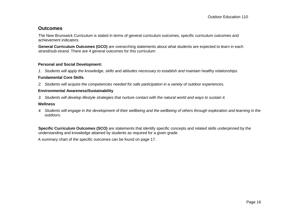### <span id="page-15-0"></span>**Outcomes**

The New Brunswick Curriculum is stated in terms of general curriculum outcomes, specific curriculum outcomes and achievement indicators.

**General Curriculum Outcomes (GCO)** are overarching statements about what students are expected to learn in each strand/sub-strand. There are 4 general outcomes for this curriculum:

#### **Personal and Social Development:**

*1. Students will apply the knowledge, skills and attitudes necessary to establish and maintain healthy relationships.*

#### **Fundamental Core Skills**

*2. Students will acquire the competencies needed for safe participation in a variety of outdoor experiences.*

#### **Environmental Awareness/Sustainability**

*3. Students will develop lifestyle strategies that nurture contact with the natural world and ways to sustain it.*

#### **Wellness**

*4. Students will engage in the development of their wellbeing and the wellbeing of others through exploration and learning in the outdoors.*

**Specific Curriculum Outcomes (SCO)** are statements that identify specific concepts and related skills underpinned by the understanding and knowledge attained by students as required for a given grade.

A summary chart of the specific outcomes can be found on page 17.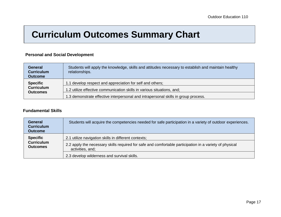# **Curriculum Outcomes Summary Chart**

#### **Personal and Social Development**

| <b>General</b><br><b>Curriculum</b><br><b>Outcome</b> | Students will apply the knowledge, skills and attitudes necessary to establish and maintain healthy<br>relationships. |
|-------------------------------------------------------|-----------------------------------------------------------------------------------------------------------------------|
| <b>Specific</b>                                       | 1.1 develop respect and appreciation for self and others;                                                             |
| <b>Curriculum</b><br><b>Outcomes</b>                  | 1.2 utilize effective communication skills in various situations, and;                                                |
|                                                       | 1.3 demonstrate effective interpersonal and intrapersonal skills in group process.                                    |

#### **Fundamental Skills**

| <b>General</b><br><b>Curriculum</b><br><b>Outcome</b>   | Students will acquire the competencies needed for safe participation in a variety of outdoor experiences.                                                                           |
|---------------------------------------------------------|-------------------------------------------------------------------------------------------------------------------------------------------------------------------------------------|
| <b>Specific</b><br><b>Curriculum</b><br><b>Outcomes</b> | 2.1 utilize navigation skills in different contexts;<br>2.2 apply the necessary skills required for safe and comfortable participation in a variety of physical<br>activities, and; |
|                                                         | 2.3 develop wilderness and survival skills.                                                                                                                                         |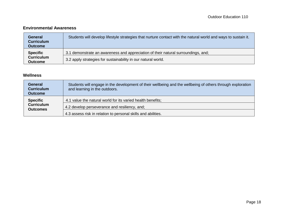### **Environmental Awareness**

| General<br><b>Curriculum</b><br><b>Outcome</b> | Students will develop lifestyle strategies that nurture contact with the natural world and ways to sustain it. |
|------------------------------------------------|----------------------------------------------------------------------------------------------------------------|
| <b>Specific</b>                                | 3.1 demonstrate an awareness and appreciation of their natural surroundings, and;                              |
| <b>Curriculum</b><br><b>Outcome</b>            | 3.2 apply strategies for sustainability in our natural world.                                                  |

#### **Wellness**

| <b>General</b><br><b>Curriculum</b><br><b>Outcome</b> | Students will engage in the development of their wellbeing and the wellbeing of others through exploration<br>and learning in the outdoors. |
|-------------------------------------------------------|---------------------------------------------------------------------------------------------------------------------------------------------|
| <b>Specific</b>                                       | 4.1 value the natural world for its varied health benefits;                                                                                 |
| <b>Curriculum</b><br><b>Outcomes</b>                  | 4.2 develop perseverance and resiliency, and;                                                                                               |
|                                                       | 4.3 assess risk in relation to personal skills and abilities.                                                                               |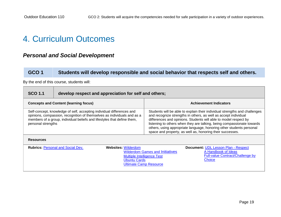# <span id="page-18-0"></span>4. Curriculum Outcomes

# *Personal and Social Development*

# **GCO 1 Students will develop responsible and social behavior that respects self and others.**

By the end of this course, students will:

 $\blacksquare$ 

| <b>SCO 1.1</b>                                                                                                                                                                                                                                    | develop respect and appreciation for self and others; |                                                                                                                         |                                                                                                                                                                                                                                                                                                                                                                                                                                  |  |  |
|---------------------------------------------------------------------------------------------------------------------------------------------------------------------------------------------------------------------------------------------------|-------------------------------------------------------|-------------------------------------------------------------------------------------------------------------------------|----------------------------------------------------------------------------------------------------------------------------------------------------------------------------------------------------------------------------------------------------------------------------------------------------------------------------------------------------------------------------------------------------------------------------------|--|--|
|                                                                                                                                                                                                                                                   | <b>Concepts and Content (learning focus)</b>          |                                                                                                                         | <b>Achievement Indicators</b>                                                                                                                                                                                                                                                                                                                                                                                                    |  |  |
| Self-concept, knowledge of self, accepting individual differences and<br>opinions, compassion, recognition of themselves as individuals and as a<br>members of a group, individual beliefs and lifestyles that define them,<br>personal strengths |                                                       |                                                                                                                         | Students will be able to explain their individual strengths and challenges<br>and recognize strengths in others, as well as accept individual<br>differences and opinions. Students will able to model respect by<br>listening to others when they are talking, being compassionate towards<br>others, using appropriate language, honoring other students personal<br>space and property, as well as, honoring their successes. |  |  |
| <b>Resources</b>                                                                                                                                                                                                                                  |                                                       |                                                                                                                         |                                                                                                                                                                                                                                                                                                                                                                                                                                  |  |  |
|                                                                                                                                                                                                                                                   | <b>Rubrics: Personal and Social Dev.</b>              | <b>Websites: Wilderdom</b><br><b>Multiple Intelligence Test</b><br><b>Ubuntu Cards</b><br><b>Ultimate Camp Resource</b> | Document: UDL Lesson Plan - Respect<br>A Handbook of Ideas<br><b>Wilderdom Games and Initiatives</b><br><b>Full-value Contract/Challenge by</b><br>Choice                                                                                                                                                                                                                                                                        |  |  |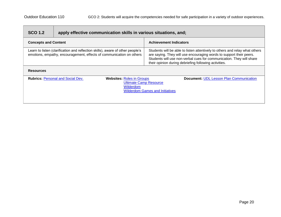$\overline{\mathbb{R}^n}$ 

| <b>SCO 1.2</b>                                                                                                                                         | apply effective communication skills in various situations, and;                                                           |                                                                                                                                                                                                                                                                                     |  |  |
|--------------------------------------------------------------------------------------------------------------------------------------------------------|----------------------------------------------------------------------------------------------------------------------------|-------------------------------------------------------------------------------------------------------------------------------------------------------------------------------------------------------------------------------------------------------------------------------------|--|--|
| <b>Concepts and Content</b>                                                                                                                            |                                                                                                                            | <b>Achievement Indicators</b>                                                                                                                                                                                                                                                       |  |  |
| Learn to listen (clarification and reflection skills), aware of other people's<br>emotions, empathy, encouragement, effects of communication on others |                                                                                                                            | Students will be able to listen attentively to others and relay what others<br>are saying. They will use encouraging words to support their peers.<br>Students will use non-verbal cues for communication. They will share<br>their opinion during debriefing following activities. |  |  |
| <b>Resources</b>                                                                                                                                       |                                                                                                                            |                                                                                                                                                                                                                                                                                     |  |  |
|                                                                                                                                                        | <b>Rubrics: Personal and Social Dev.</b><br><b>Websites: Roles in Groups</b><br><b>Ultimate Camp Resource</b><br>Wilderdom | <b>Document: UDL Lesson Plan Communication</b><br><b>Wilderdom Games and Initiatives</b>                                                                                                                                                                                            |  |  |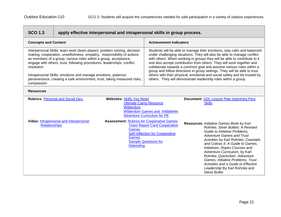the contract of the contract of the contract of

 $\overline{\mathbb{R}^n}$ 

| <b>SCO 1.3</b>                                                                                                                                                                                                                                                                                                                                                                                                                                                            | apply effective interpersonal and intrapersonal skills in group process.                                                          |                                                                                                                                                                                                                                                                                                                                                                                                                                                                                                                                                                                                            |  |  |
|---------------------------------------------------------------------------------------------------------------------------------------------------------------------------------------------------------------------------------------------------------------------------------------------------------------------------------------------------------------------------------------------------------------------------------------------------------------------------|-----------------------------------------------------------------------------------------------------------------------------------|------------------------------------------------------------------------------------------------------------------------------------------------------------------------------------------------------------------------------------------------------------------------------------------------------------------------------------------------------------------------------------------------------------------------------------------------------------------------------------------------------------------------------------------------------------------------------------------------------------|--|--|
| <b>Concepts and Content</b>                                                                                                                                                                                                                                                                                                                                                                                                                                               |                                                                                                                                   | <b>Achievement Indicators</b>                                                                                                                                                                                                                                                                                                                                                                                                                                                                                                                                                                              |  |  |
| Interpersonal Skills: team work (team player); problem solving, decision<br>making, cooperation, unselfishness, empathy, responsibility of actions<br>as members of a group; various roles within a group, acceptance,<br>engage with others, trust, following procedures, leaderships, conflict<br>resolution<br>Intrapersonal Skills: emotions and manage emotions, patience;<br>perseverance, creating a safe environment, trust, taking measured risks,<br>compassion |                                                                                                                                   | Students will be able to manage their emotions, stay calm and balanced<br>under challenging situations. They will also be able to manage conflict<br>with others. When working in groups they will be able to contribute to it<br>and also accept contribution from others. They will work together and<br>collaborate towards a common goal and assume various roles within a<br>group and follow directions in group settings. They will be able to trust<br>others with their physical, emotional and social safety and be trusted by<br>others. They will demonstrate leadership roles within a group. |  |  |
| <b>Resources</b>                                                                                                                                                                                                                                                                                                                                                                                                                                                          |                                                                                                                                   |                                                                                                                                                                                                                                                                                                                                                                                                                                                                                                                                                                                                            |  |  |
|                                                                                                                                                                                                                                                                                                                                                                                                                                                                           | <b>Websites: Skills You Need</b><br><b>Rubrics: Personal and Social Dev.</b><br><b>Ultimate Camp Resource</b><br>Wilderdom        | Document: UDL Lesson Plan Inter/Intra Pers<br><b>Skills</b><br><b>Wilderdom Games and Initiatives</b><br><b>Adventure Curriculum for PE</b>                                                                                                                                                                                                                                                                                                                                                                                                                                                                |  |  |
| <b>Relationships</b>                                                                                                                                                                                                                                                                                                                                                                                                                                                      | Video: Intrapersonal and Interpersonal<br><b>Assessment: Rubrics for Cooperative Games</b><br>Games<br>Games<br><b>Debriefing</b> | Resources: Initiative Games Book by Karl<br><b>Team Report Card Cooperative</b><br>Rohnke; Silver Bullets: A Revised<br>Guide to Initiative Problems,<br><b>Self-reflection for Cooperative</b><br><b>Adventure Games and Trust</b><br>Activities by Karl Rohnke; Cowstails<br><b>Sample Questions for</b><br>and Cobras II: A Guide to Games,<br>Initiatives, Ropes Courses and<br>Adventure Curriculum, by Karl<br>Rohnke; Quicksilver: Adventure<br>Games, Initiative Problems, Trust<br>Activities and a Guide to Effective<br>Leadership By Karl Rohnke and<br>Steve Butler                           |  |  |

 $\overline{\phantom{0}}$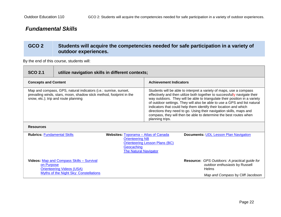П

# *Fundamental Skills*

# **GCO 2 Students will acquire the competencies needed for safe participation in a variety of outdoor experiences.**

By the end of this course, students will:

| <b>SCO 2.1</b>                                                                                                                                                                   | utilize navigation skills in different contexts;                              |                                                                                                                                                                                                                                                                                                                                                                                                                                                                                                                                                 |                                       |  |                                                                                                        |
|----------------------------------------------------------------------------------------------------------------------------------------------------------------------------------|-------------------------------------------------------------------------------|-------------------------------------------------------------------------------------------------------------------------------------------------------------------------------------------------------------------------------------------------------------------------------------------------------------------------------------------------------------------------------------------------------------------------------------------------------------------------------------------------------------------------------------------------|---------------------------------------|--|--------------------------------------------------------------------------------------------------------|
| <b>Concepts and Content</b>                                                                                                                                                      |                                                                               |                                                                                                                                                                                                                                                                                                                                                                                                                                                                                                                                                 | <b>Achievement Indicators</b>         |  |                                                                                                        |
| Map and compass, GPS, natural indicators (i.e.: sunrise, sunset,<br>prevailing winds, stars, moon, shadow stick method, footprint in the<br>snow, etc.); trip and route planning |                                                                               | Students will be able to interpret a variety of maps, use a compass<br>effectively and then utilize both together to successfully navigate their<br>way outdoors. They will be able to triangulate their position in a variety<br>of outdoor settings. They will also be able to use a GPS and list natural<br>indicators that could help them identify their location and which<br>directions they need to go. Using their navigation skills, maps and<br>compass, they will then be able to determine the best routes when<br>planning trips. |                                       |  |                                                                                                        |
| <b>Resources</b>                                                                                                                                                                 |                                                                               |                                                                                                                                                                                                                                                                                                                                                                                                                                                                                                                                                 |                                       |  |                                                                                                        |
| <b>Rubrics: Fundamental Skills</b>                                                                                                                                               |                                                                               | Websites: Toporama - Atlas of Canada<br><b>Orienteering NB</b><br>Geocaching<br><b>The Natural Navigator</b>                                                                                                                                                                                                                                                                                                                                                                                                                                    | <b>Orienteering Lesson Plans (BC)</b> |  | <b>Documents: UDL Lesson Plan Navigation</b>                                                           |
| on Purpose                                                                                                                                                                       | Videos: Map and Compass Skills - Survival<br><b>Orienteering Videos (USA)</b> |                                                                                                                                                                                                                                                                                                                                                                                                                                                                                                                                                 |                                       |  | <b>Resource:</b> GPS Outdoors: A practical guide for<br>outdoor enthusiasts by Russell<br><b>Helms</b> |
|                                                                                                                                                                                  | Myths of the Night Sky: Constellations                                        |                                                                                                                                                                                                                                                                                                                                                                                                                                                                                                                                                 |                                       |  | Map and Compass by Cliff Jacobson                                                                      |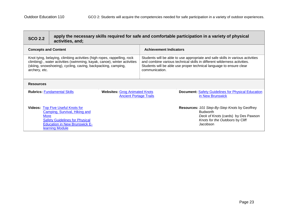| <b>SCO 2.2</b>                                                                                                                                                                                                                       | apply the necessary skills required for safe and comfortable participation in a variety of physical<br>activities, and;                                                              |                                                                                                                                                                                                                                                     |  |
|--------------------------------------------------------------------------------------------------------------------------------------------------------------------------------------------------------------------------------------|--------------------------------------------------------------------------------------------------------------------------------------------------------------------------------------|-----------------------------------------------------------------------------------------------------------------------------------------------------------------------------------------------------------------------------------------------------|--|
| <b>Concepts and Content</b>                                                                                                                                                                                                          |                                                                                                                                                                                      | <b>Achievement Indicators</b>                                                                                                                                                                                                                       |  |
| Knot tying, belaying, climbing activities (high ropes, rappelling, rock<br>climbing), water activities (swimming, kayak, canoe), winter activities<br>(skiing, snowshoeing), cycling, caving, backpacking, camping,<br>archery, etc. |                                                                                                                                                                                      | Students will be able to use appropriate and safe skills in various activities<br>and combine various technical skills in different wilderness activities.<br>Students will be able use proper technical language to ensure clear<br>communication. |  |
| <b>Resources</b>                                                                                                                                                                                                                     |                                                                                                                                                                                      |                                                                                                                                                                                                                                                     |  |
|                                                                                                                                                                                                                                      | <b>Rubrics: Fundamental Skills</b><br><b>Websites: Grog Animated Knots</b><br><b>Ancient Portage Trails</b>                                                                          | <b>Document: Safety Guidelines for Physical Education</b><br>in New Brunswick                                                                                                                                                                       |  |
| <b>More</b>                                                                                                                                                                                                                          | <b>Videos: Top Five Useful Knots for</b><br>Camping, Survival, Hiking and<br><b>Safety Guidelines for Physical</b><br><b>Education in New Brunswick E-</b><br><b>learning Module</b> | <b>Resources: 101 Step-By-Step Knots by Geoffrey</b><br><b>Budworth</b><br>Deck of Knots (cards) by Des Pawson<br>Knots for the Outdoors by Cliff<br>Jacobson                                                                                       |  |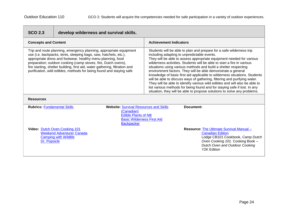| <b>SCO 2.3</b>                                                                                                                                                                                                                                                                                                                                                                                                                 | develop wilderness and survival skills.                                                                                                             |                                                                                                                                                                                                                                                                                                                                                                                                                                                                                                                                                                                                                                                                                                                                                                                                              |  |
|--------------------------------------------------------------------------------------------------------------------------------------------------------------------------------------------------------------------------------------------------------------------------------------------------------------------------------------------------------------------------------------------------------------------------------|-----------------------------------------------------------------------------------------------------------------------------------------------------|--------------------------------------------------------------------------------------------------------------------------------------------------------------------------------------------------------------------------------------------------------------------------------------------------------------------------------------------------------------------------------------------------------------------------------------------------------------------------------------------------------------------------------------------------------------------------------------------------------------------------------------------------------------------------------------------------------------------------------------------------------------------------------------------------------------|--|
| <b>Concepts and Content</b>                                                                                                                                                                                                                                                                                                                                                                                                    |                                                                                                                                                     | <b>Achievement Indicators</b>                                                                                                                                                                                                                                                                                                                                                                                                                                                                                                                                                                                                                                                                                                                                                                                |  |
| Trip and route planning, emergency planning, appropriate equipment<br>use (i.e. backpacks, tents, sleeping bags, saw, hatchets, etc.),<br>appropriate dress and footwear, healthy menu planning, food<br>preparation; outdoor cooking (camp stoves, fire, Dutch ovens),<br>fire starting, shelter building, first aid, water gathering, filtration and<br>purification, wild edibles, methods for being found and staying safe |                                                                                                                                                     | Students will be able to plan and prepare for a safe wilderness trip<br>including adapting to unpredictable events.<br>They will be able to assess appropriate equipment needed for various<br>wilderness activities. Students will be able to start a fire in various<br>situations using various methods and build a shelter respecting<br>environment factors. They will be able demonstrate a general<br>knowledge of basic first aid applicable to wilderness situations. Students<br>will be able to discuss ways of gathering, filtering and purifying water.<br>They will be able to identify various wild edibles and will also be able to<br>list various methods for being found and for staying safe if lost. In any<br>situation, they will be able to propose solutions to solve any problems. |  |
| <b>Resources</b>                                                                                                                                                                                                                                                                                                                                                                                                               |                                                                                                                                                     |                                                                                                                                                                                                                                                                                                                                                                                                                                                                                                                                                                                                                                                                                                                                                                                                              |  |
| <b>Rubrics: Fundamental Skills</b>                                                                                                                                                                                                                                                                                                                                                                                             | <b>Website: Survival Resources and Skills</b><br>(Canadian)<br><b>Edible Plants of NB</b><br><b>Basic Wilderness First Aid</b><br><b>Backpacker</b> | Document:                                                                                                                                                                                                                                                                                                                                                                                                                                                                                                                                                                                                                                                                                                                                                                                                    |  |
| Dr. Popsicle                                                                                                                                                                                                                                                                                                                                                                                                                   | <b>Video: Dutch Oven Cooking 101</b><br><b>Weekend Adventurer Canada</b><br><b>Camping with Wildlife</b>                                            | <b>Resource: The Ultimate Survival Manual -</b><br><b>Canadian Edition</b><br>Lodge CB101 Cookbook, Camp Dutch<br>Oven Cooking 101. Cooking Book -<br>Dutch Oven and Outdoor Cooking<br><b>Y2K Edition</b>                                                                                                                                                                                                                                                                                                                                                                                                                                                                                                                                                                                                   |  |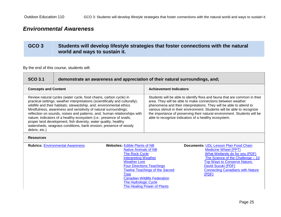# *Environmental Awareness*

# **GCO 3 Students will develop lifestyle strategies that foster connections with the natural world and ways to sustain it.**

By the end of this course, students will:

| <b>SCO 3.1</b>                                                                                                                                                                                                                                                                                                                                                                                                                                                                                                                                                                                          | demonstrate an awareness and appreciation of their natural surroundings, and; |                                                                                                                                                                                                                                                                                                                                                                                                                                  |  |
|---------------------------------------------------------------------------------------------------------------------------------------------------------------------------------------------------------------------------------------------------------------------------------------------------------------------------------------------------------------------------------------------------------------------------------------------------------------------------------------------------------------------------------------------------------------------------------------------------------|-------------------------------------------------------------------------------|----------------------------------------------------------------------------------------------------------------------------------------------------------------------------------------------------------------------------------------------------------------------------------------------------------------------------------------------------------------------------------------------------------------------------------|--|
| <b>Concepts and Content</b>                                                                                                                                                                                                                                                                                                                                                                                                                                                                                                                                                                             |                                                                               | <b>Achievement Indicators</b>                                                                                                                                                                                                                                                                                                                                                                                                    |  |
| Review natural cycles (water cycle, food chains, carbon cycle) in<br>practical settings; weather interpretations (scientifically and culturally);<br>wildlife and their habitats; stewardship, and; environmental ethics<br>Mindfulness, awareness and sensitivity of natural surroundings;<br>reflection on sounds, noises and patterns, and; human relationships with<br>nature; indicators of a healthy ecosystem (i.e.: presence of snails,<br>proper land development, fish diversity, water quality, healthy<br>watersheds, seagrass conditions, bank erosion, presence of woody<br>debris, etc.) |                                                                               | Students will be able to identify flora and fauna that are common in their<br>area. They will be able to make connections between weather<br>phenomena and their interpretations. They will be able to attend to<br>various stimuli in their environment. Students will be able to recognize<br>the importance of preserving their natural environment. Students will be<br>able to recognize indicators of a healthy ecosystem. |  |
| <b>Resources</b>                                                                                                                                                                                                                                                                                                                                                                                                                                                                                                                                                                                        |                                                                               |                                                                                                                                                                                                                                                                                                                                                                                                                                  |  |

**Rubrics:** [Environmental Awareness](https://collabe.nbed.nb.ca/sites/hpe/oe110/_layouts/15/WopiFrame.aspx?sourcedoc=/sites/hpe/oe110/Shared%20Documents/Rubrics/Rubrics%20Environmental%20Awareness.docx&action=default) **Websites:** Edible Plants of NB

[Native Animals of NB](http://www.canadiangeographic.ca/kids/animal-facts/animals.asp?region=nb) [The Rock Cycle](https://www.learner.org/interactives/rockcycle/diagram.html) [Interpreting Weather](http://outdoorleaderonline.org/content/olo/pagerend.php?chapID=19) [Weather Lore](http://www.naturalnavigator.com/the-library/weather-lore) [Four Directions Teachings](http://www.fourdirectionsteachings.com/resources.html) [Twelve Teachings of the Sacred](https://iyeshe.wordpress.com/2010/07/25/twelve-teachings-of-the-sacred-tree/)  **[Tree](https://iyeshe.wordpress.com/2010/07/25/twelve-teachings-of-the-sacred-tree/)** [Canadian Wildlife Federation](http://cwf-fcf.org/en/discover-wildlife/resources/) [The Hydrologic Cycle](http://www.ec.gc.ca/eau-water/default.asp?lang=En&n=23CEC266-1) [The Healing Power of Plants](http://www.virtualmuseum.ca/sgc-cms/expositions-exhibitions/plantes-plants/welcome.php)

**Documents:** [UDL Lesson Plan Food Chain](file://collabe.nbed.nb.ca@SSL/DavWWWRoot/sites/hpe/oe110/Shared%20Documents/UDL%20Sample%20Lesson%20Plans/SCO%203.1%20Food%20Chain.docx) [Medicine Wheel \(PPT\)](http://www.google.ca/url?sa=t&rct=j&q=&esrc=s&source=web&cd=9&cad=rja&uact=8&ved=0ahUKEwivsce5w47LAhWBtoMKHc7rBzMQFgg7MAg&url=http%3A%2F%2Fhrsbstaff.ednet.ns.ca%2Fapatterso%2FThe%2520Medicine%2520Wheel.ppt&usg=AFQjCNECAW4UKSS9O5Ma3jXR-iXsOcNlbg&sig2=EYjDoZbjk5I6iZeJtWvIUQ) [What Wetlands do for you \(PDF\)](http://www.davidsuzuki.org/publications/downloads/2012/About%20Wetlands%20-%20for%20screen.pdf) [The Science of the Challenge –](http://www.davidsuzuki.org/publications/downloads/2003/ChallengeScience.pdf) 10 [Top Ways to Conserve Nature,](http://www.davidsuzuki.org/publications/downloads/2003/ChallengeScience.pdf)  [David Suzuki \(PDF\)](http://www.davidsuzuki.org/publications/downloads/2003/ChallengeScience.pdf) [Connecting Canadians with Nature](http://www.parks-parcs.ca/english/ConnectingCanadians-English_web.pdf)  [\(PDF\)](http://www.parks-parcs.ca/english/ConnectingCanadians-English_web.pdf)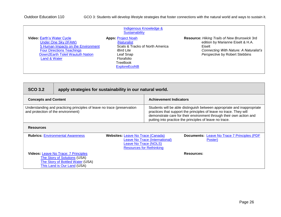|                                                                                                                                                                                                | Indigenous Knowledge &<br><b>Sustainability</b>                                                                                                                       |                                                                                                                                                                                |
|------------------------------------------------------------------------------------------------------------------------------------------------------------------------------------------------|-----------------------------------------------------------------------------------------------------------------------------------------------------------------------|--------------------------------------------------------------------------------------------------------------------------------------------------------------------------------|
| <b>Video: Earth's Water Cycle</b><br><b>Under One Sky (IFAW)</b><br>5 Human Impacts on the Environment<br><b>Four Directions Teachings</b><br>Down2Earth Tsleil Waututh Nation<br>Land & Water | <b>Apps: Project Noah</b><br><b>iNaturalist</b><br>Scats & Tracks of North America<br>iBird Lite<br>Leaf Snap<br>Florafolio<br><b>TreeBook</b><br><b>ExploreEcoNB</b> | <b>Resource: Hiking Trails of New Brunswick 3rd</b><br>edition by Marianne Eiselt & H.A.<br>Eiselt<br>Connecting With Nature: A Naturalist's<br>Perspective by Robert Stebbins |

| <b>SCO 3.2</b>                                                                                                                                                                                                                                     | apply strategies for sustainability in our natural world.                                                                                      |                                                                                                                                                                                                                                                                                 |  |            |  |
|----------------------------------------------------------------------------------------------------------------------------------------------------------------------------------------------------------------------------------------------------|------------------------------------------------------------------------------------------------------------------------------------------------|---------------------------------------------------------------------------------------------------------------------------------------------------------------------------------------------------------------------------------------------------------------------------------|--|------------|--|
| <b>Concepts and Content</b>                                                                                                                                                                                                                        |                                                                                                                                                | <b>Achievement Indicators</b>                                                                                                                                                                                                                                                   |  |            |  |
| Understanding and practicing principles of leave no trace (preservation<br>and protection of the environment)                                                                                                                                      |                                                                                                                                                | Students will be able distinguish between appropriate and inappropriate<br>practices that support the principles of leave no trace. They will<br>demonstrate care for their environment through their own action and<br>putting into practice the principles of leave no trace. |  |            |  |
| <b>Resources</b>                                                                                                                                                                                                                                   |                                                                                                                                                |                                                                                                                                                                                                                                                                                 |  |            |  |
| <b>Rubrics: Environmental Awareness</b><br><b>Documents:</b> Leave No Trace 7 Principles (PDF<br><b>Websites: Leave No Trace (Canada)</b><br>Leave No Trace (International)<br>Poster)<br>Leave No Trace (NOLS)<br><b>Resources for Rethinking</b> |                                                                                                                                                |                                                                                                                                                                                                                                                                                 |  |            |  |
|                                                                                                                                                                                                                                                    | <b>Videos: Leave No Trace: 7 Principles</b><br>The Story of Solutions (USA)<br>The Story of Bottled Water (USA)<br>This Land is Our Land (USA) |                                                                                                                                                                                                                                                                                 |  | Resources: |  |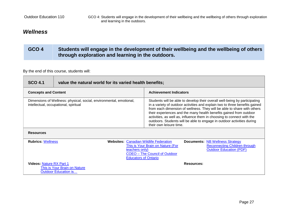# *Wellness*

# **GCO 4 Students will engage in the development of their wellbeing and the wellbeing of others through exploration and learning in the outdoors.**

By the end of this course, students will:

| <b>SCO 4.1</b>                                                                                               | value the natural world for its varied health benefits;     |                                                                                                                                                                                                                                                                                                                                                                                                                                                                                           |  |
|--------------------------------------------------------------------------------------------------------------|-------------------------------------------------------------|-------------------------------------------------------------------------------------------------------------------------------------------------------------------------------------------------------------------------------------------------------------------------------------------------------------------------------------------------------------------------------------------------------------------------------------------------------------------------------------------|--|
| <b>Concepts and Content</b>                                                                                  |                                                             | <b>Achievement Indicators</b>                                                                                                                                                                                                                                                                                                                                                                                                                                                             |  |
| Dimensions of Wellness: physical, social, environmental, emotional,<br>intellectual, occupational, spiritual |                                                             | Students will be able to develop their overall well-being by participating<br>in a variety of outdoor activities and explain two to three benefits gained<br>from each dimension of wellness. They will be able to share with others<br>their experiences and the many health benefits gained from outdoor<br>activities, as well as, influence them in choosing to connect with the<br>outdoors. Students will be able to engage in outdoor activities during<br>their own leisure time. |  |
| <b>Resources</b>                                                                                             |                                                             |                                                                                                                                                                                                                                                                                                                                                                                                                                                                                           |  |
| <b>Rubrics: Wellness</b>                                                                                     |                                                             | <b>Websites: Canadian Wildlife Federation</b><br><b>Documents: NB Wellness Strategy</b><br>This is Your Brain on Nature (For<br><b>Reconnecting Children through</b><br><b>Outdoor Education (PDF)</b><br>teachers only)<br><b>COEO</b> - The Council of Outdoor<br><b>Educators of Ontario</b>                                                                                                                                                                                           |  |
| Videos: Nature RX Part 1                                                                                     | This is Your Brain on Nature<br><b>Outdoor Education is</b> | <b>Resources:</b>                                                                                                                                                                                                                                                                                                                                                                                                                                                                         |  |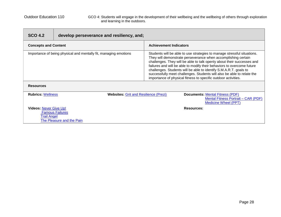Outdoor Education 110 GCO 4: Students will engage in the development of their wellbeing and the wellbeing of others through exploration and learning in the outdoors.

| <b>SCO 4.2</b>                                                                       | develop perseverance and resiliency, and;    |                                                                                                                                                                                                                                                                                                                                                                                                                                                                                                               |  |
|--------------------------------------------------------------------------------------|----------------------------------------------|---------------------------------------------------------------------------------------------------------------------------------------------------------------------------------------------------------------------------------------------------------------------------------------------------------------------------------------------------------------------------------------------------------------------------------------------------------------------------------------------------------------|--|
| <b>Concepts and Content</b>                                                          |                                              | <b>Achievement Indicators</b>                                                                                                                                                                                                                                                                                                                                                                                                                                                                                 |  |
| Importance of being physical and mentally fit, managing emotions<br><b>Resources</b> |                                              | Students will be able to use strategies to manage stressful situations.<br>They will demonstrate perseverance when accomplishing certain<br>challenges. They will be able to talk openly about their successes and<br>failures and will be able to modify their behaviors to overcome future<br>challenges. Students will be able to identify S.M.A.R.T. goals to<br>successfully meet challenges. Students will also be able to relate the<br>importance of physical fitness to specific outdoor activities. |  |
| <b>Rubrics: Wellness</b>                                                             |                                              | <b>Documents: Mental Fitness (PDF)</b>                                                                                                                                                                                                                                                                                                                                                                                                                                                                        |  |
|                                                                                      | <b>Websites: Grit and Resilience (Prezi)</b> | Mental Fitness Portrait - CAR (PDF)<br><b>Medicine Wheel (PPT)</b>                                                                                                                                                                                                                                                                                                                                                                                                                                            |  |
| <b>Videos: Never Give Up!</b>                                                        |                                              | <b>Resources:</b>                                                                                                                                                                                                                                                                                                                                                                                                                                                                                             |  |
| <b>Trail Angel</b>                                                                   | <b>Famous Failures</b>                       |                                                                                                                                                                                                                                                                                                                                                                                                                                                                                                               |  |
|                                                                                      | The Pleasure and the Pain                    |                                                                                                                                                                                                                                                                                                                                                                                                                                                                                                               |  |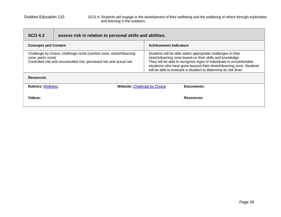Outdoor Education 110 GCO 4: Students will engage in the development of their wellbeing and the wellbeing of others through exploration and learning in the outdoors.

| <b>SCO 4.3</b>                                                                                                                                                      | assess risk in relation to personal skills and abilities. |                                                                                                                                                                                                                                                                                                                                                  |  |  |
|---------------------------------------------------------------------------------------------------------------------------------------------------------------------|-----------------------------------------------------------|--------------------------------------------------------------------------------------------------------------------------------------------------------------------------------------------------------------------------------------------------------------------------------------------------------------------------------------------------|--|--|
| <b>Concepts and Content</b>                                                                                                                                         |                                                           | <b>Achievement Indicators</b>                                                                                                                                                                                                                                                                                                                    |  |  |
| Challenge by choice; challenge circle (comfort zone; stretch/learning<br>zone; panic zone)<br>Controlled risk and uncontrolled risk; perceived risk and actual risk |                                                           | Students will be able select appropriate challenges in their<br>stretch/learning zone based on their skills and knowledge.<br>They will be able to recognize signs of individuals in uncomfortable<br>situations who have gone beyond their stretch/learning zone. Students<br>will be able to evaluate a situation to determine its risk level. |  |  |
| <b>Resources</b>                                                                                                                                                    |                                                           |                                                                                                                                                                                                                                                                                                                                                  |  |  |
| <b>Rubrics: Wellness</b>                                                                                                                                            | <b>Website: Challenge by Choice</b>                       | Documents:                                                                                                                                                                                                                                                                                                                                       |  |  |
| Videos:                                                                                                                                                             |                                                           | <b>Resources:</b>                                                                                                                                                                                                                                                                                                                                |  |  |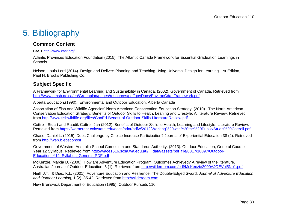# <span id="page-29-0"></span>5. Bibliography

# <span id="page-29-1"></span>**Common Content**

#### CAST<http://www.cast.org/>

Atlantic Provinces Education Foundation (2015). The Atlantic Canada Framework for Essential Graduation Learnings in **Schools** 

Nelson, Louis Lord (2014). Design and Deliver: Planning and Teaching Using Universal Design for Learning. 1st Edition, Paul H. Brooks Publishing Co.

## <span id="page-29-2"></span>**Subject Specific**

A Framework for Environmental Learning and Sustainability in Canada, (2002). Government of Canada. Retrieved from [http://www.emsb.qc.ca/en/Greenplan/pages/resources/pdf/govDocs/EnvironCda\\_Framework.pdf](http://www.emsb.qc.ca/en/Greenplan/pages/resources/pdf/govDocs/EnvironCda_Framework.pdf)

Alberta Education,(1990). Environmental and Outdoor Education, Alberta Canada

Association of Fish and Wildlife Agencies' North American Conservation Education Strategy, (2010). The North American Conservation Education Strategy: Benefits of Outdoor Skills to Health, Leaning and Lifestyle: A literature Review. Retrieved from<http://www.fishwildlife.org/files/ConEd-Benefit-of-Outdoor-Skills-LiteratureReview.pdf>

Cottrell, Stuart and Raadik Cottrel, Jan (2012). Benefits of Outdoor Skills to Health, Learning and Lifestyle: Literature Review. Retrieved from<https://warnercnr.colostate.edu/docs/hdnr/hdfw/2012/Working%20with%20the%20Public/Stuart%20Cottrell.pdf>

Chase, Daniel L. (2015). Does Challenge by Choice Increase Participation? Journal of Experiential Education 38 (2). Retrieved from [http://web.b.ebscohost](http://web.b.ebscohost.com/ehost/pdfviewer/pdfviewer?sid=2019a066-bcb7-4d3e-82ff-10ffff299e00%40sessionmgr114&vid=7&hid=101) 

Government of Western Australia School Curriculum and Standards Authority, (2013). Outdoor Education, General Course Year 12 Syllabus. Retrieved from http://wace1516.scsa.wa.edu.au/ data/assets/pdf file/0017/10097/Outdoor-Education Y12 Syllabus General PDF.pdf

McKenzie, Marcia D. (2000). How are Adventure Education Program Outcomes Achieved? A review of the literature. Australian Journal of Outdoor Education, 5 (1). Retrieved from<http://wilderdom.com/pdf/McKenzie2000AJOEVol5No1.pdf>

Neill, J.T., & Dias, K.L. (2001). Adventure Education and Resilience: The Double-Edged Sword. *Journal of Adventure Education and Outdoor Learning*, 1 (2), 35-42. Retrieved from [http://wilderdom.com](http://wilderdom.com/)

New Brunswick Department of Education (1995). Outdoor Pursuits 110